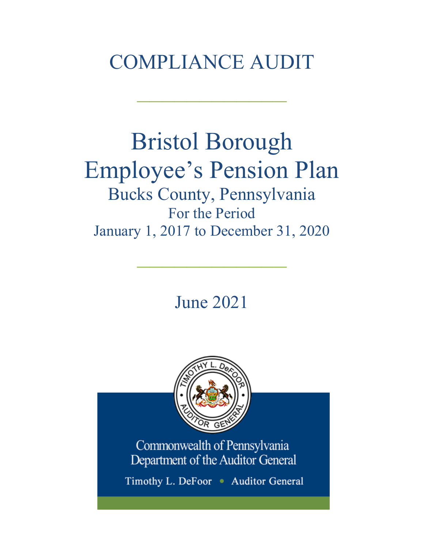# COMPLIANCE AUDIT

 $\frac{1}{2}$ 

# Bristol Borough Employee's Pension Plan Bucks County, Pennsylvania For the Period January 1, 2017 to December 31, 2020

June 2021

 $\frac{1}{2}$ 



Commonwealth of Pennsylvania Department of the Auditor General

Timothy L. DeFoor • Auditor General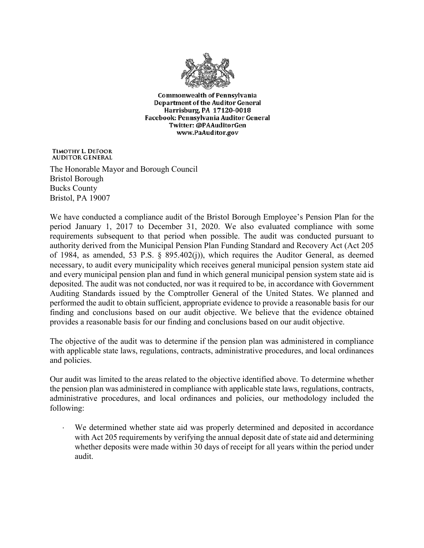

**Commonwealth of Pennsylvania** Department of the Auditor General Harrisburg, PA 17120-0018 Facebook: Pennsylvania Auditor General Twitter: @PAAuditorGen www.PaAuditor.gov

TIMOTHY L. DEFOOR **AUDITOR GENERAL** 

The Honorable Mayor and Borough Council Bristol Borough Bucks County Bristol, PA 19007

We have conducted a compliance audit of the Bristol Borough Employee's Pension Plan for the period January 1, 2017 to December 31, 2020. We also evaluated compliance with some requirements subsequent to that period when possible. The audit was conducted pursuant to authority derived from the Municipal Pension Plan Funding Standard and Recovery Act (Act 205 of 1984, as amended, 53 P.S. § 895.402(j)), which requires the Auditor General, as deemed necessary, to audit every municipality which receives general municipal pension system state aid and every municipal pension plan and fund in which general municipal pension system state aid is deposited. The audit was not conducted, nor was it required to be, in accordance with Government Auditing Standards issued by the Comptroller General of the United States. We planned and performed the audit to obtain sufficient, appropriate evidence to provide a reasonable basis for our finding and conclusions based on our audit objective. We believe that the evidence obtained provides a reasonable basis for our finding and conclusions based on our audit objective.

The objective of the audit was to determine if the pension plan was administered in compliance with applicable state laws, regulations, contracts, administrative procedures, and local ordinances and policies.

Our audit was limited to the areas related to the objective identified above. To determine whether the pension plan was administered in compliance with applicable state laws, regulations, contracts, administrative procedures, and local ordinances and policies, our methodology included the following:

We determined whether state aid was properly determined and deposited in accordance with Act 205 requirements by verifying the annual deposit date of state aid and determining whether deposits were made within 30 days of receipt for all years within the period under audit.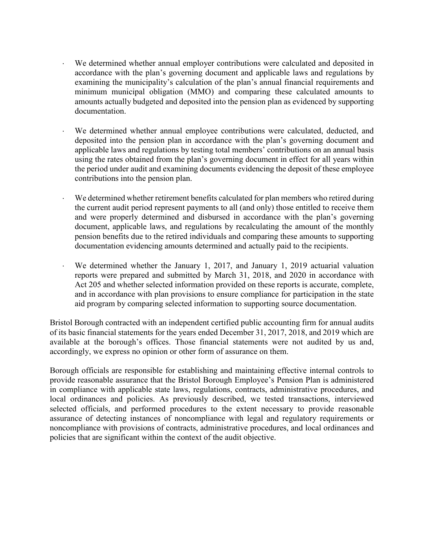- We determined whether annual employer contributions were calculated and deposited in accordance with the plan's governing document and applicable laws and regulations by examining the municipality's calculation of the plan's annual financial requirements and minimum municipal obligation (MMO) and comparing these calculated amounts to amounts actually budgeted and deposited into the pension plan as evidenced by supporting documentation.
- We determined whether annual employee contributions were calculated, deducted, and deposited into the pension plan in accordance with the plan's governing document and applicable laws and regulations by testing total members' contributions on an annual basis using the rates obtained from the plan's governing document in effect for all years within the period under audit and examining documents evidencing the deposit of these employee contributions into the pension plan.
- We determined whether retirement benefits calculated for plan members who retired during the current audit period represent payments to all (and only) those entitled to receive them and were properly determined and disbursed in accordance with the plan's governing document, applicable laws, and regulations by recalculating the amount of the monthly pension benefits due to the retired individuals and comparing these amounts to supporting documentation evidencing amounts determined and actually paid to the recipients.
- We determined whether the January 1, 2017, and January 1, 2019 actuarial valuation reports were prepared and submitted by March 31, 2018, and 2020 in accordance with Act 205 and whether selected information provided on these reports is accurate, complete, and in accordance with plan provisions to ensure compliance for participation in the state aid program by comparing selected information to supporting source documentation.

Bristol Borough contracted with an independent certified public accounting firm for annual audits of its basic financial statements for the years ended December 31, 2017, 2018, and 2019 which are available at the borough's offices. Those financial statements were not audited by us and, accordingly, we express no opinion or other form of assurance on them.

Borough officials are responsible for establishing and maintaining effective internal controls to provide reasonable assurance that the Bristol Borough Employee's Pension Plan is administered in compliance with applicable state laws, regulations, contracts, administrative procedures, and local ordinances and policies. As previously described, we tested transactions, interviewed selected officials, and performed procedures to the extent necessary to provide reasonable assurance of detecting instances of noncompliance with legal and regulatory requirements or noncompliance with provisions of contracts, administrative procedures, and local ordinances and policies that are significant within the context of the audit objective.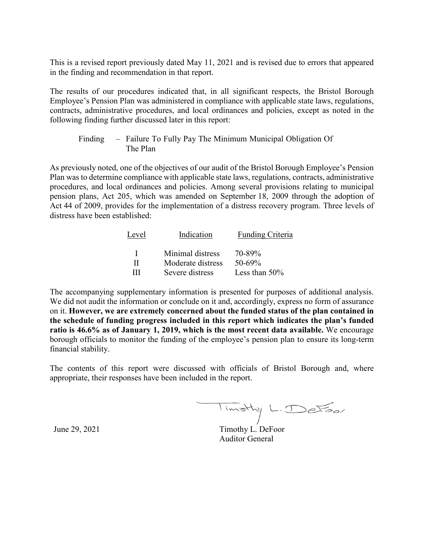This is a revised report previously dated May 11, 2021 and is revised due to errors that appeared in the finding and recommendation in that report.

The results of our procedures indicated that, in all significant respects, the Bristol Borough Employee's Pension Plan was administered in compliance with applicable state laws, regulations, contracts, administrative procedures, and local ordinances and policies, except as noted in the following finding further discussed later in this report:

# Finding – Failure To Fully Pay The Minimum Municipal Obligation Of The Plan

As previously noted, one of the objectives of our audit of the Bristol Borough Employee's Pension Plan was to determine compliance with applicable state laws, regulations, contracts, administrative procedures, and local ordinances and policies. Among several provisions relating to municipal pension plans, Act 205, which was amended on September 18, 2009 through the adoption of Act 44 of 2009, provides for the implementation of a distress recovery program. Three levels of distress have been established:

| Indication        | Funding Criteria |
|-------------------|------------------|
| Minimal distress  | 70-89%           |
| Moderate distress | $50 - 69\%$      |
| Severe distress   | Less than $50\%$ |
|                   |                  |

The accompanying supplementary information is presented for purposes of additional analysis. We did not audit the information or conclude on it and, accordingly, express no form of assurance on it. **However, we are extremely concerned about the funded status of the plan contained in the schedule of funding progress included in this report which indicates the plan's funded ratio is 46.6% as of January 1, 2019, which is the most recent data available.** We encourage borough officials to monitor the funding of the employee's pension plan to ensure its long-term financial stability.

The contents of this report were discussed with officials of Bristol Borough and, where appropriate, their responses have been included in the report.

Timothy L. DeFoor

June 29, 2021 Timothy L. DeFoor Auditor General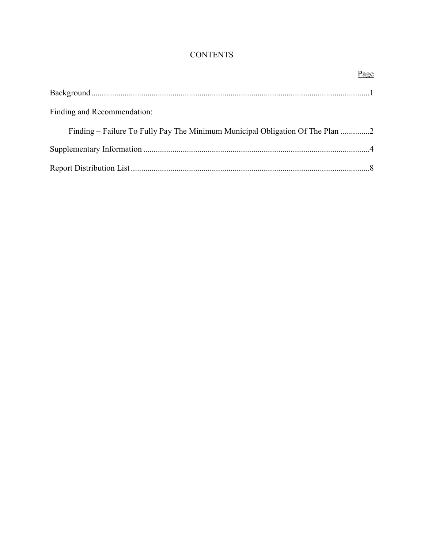# **CONTENTS**

|                                                                             | Page |
|-----------------------------------------------------------------------------|------|
|                                                                             |      |
| Finding and Recommendation:                                                 |      |
| Finding – Failure To Fully Pay The Minimum Municipal Obligation Of The Plan |      |
|                                                                             |      |
|                                                                             |      |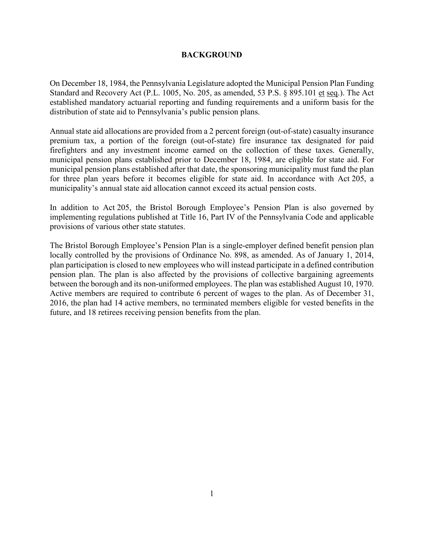## **BACKGROUND**

On December 18, 1984, the Pennsylvania Legislature adopted the Municipal Pension Plan Funding Standard and Recovery Act (P.L. 1005, No. 205, as amended, 53 P.S. § 895.101 et seq.). The Act established mandatory actuarial reporting and funding requirements and a uniform basis for the distribution of state aid to Pennsylvania's public pension plans.

Annual state aid allocations are provided from a 2 percent foreign (out-of-state) casualty insurance premium tax, a portion of the foreign (out-of-state) fire insurance tax designated for paid firefighters and any investment income earned on the collection of these taxes. Generally, municipal pension plans established prior to December 18, 1984, are eligible for state aid. For municipal pension plans established after that date, the sponsoring municipality must fund the plan for three plan years before it becomes eligible for state aid. In accordance with Act 205, a municipality's annual state aid allocation cannot exceed its actual pension costs.

In addition to Act 205, the Bristol Borough Employee's Pension Plan is also governed by implementing regulations published at Title 16, Part IV of the Pennsylvania Code and applicable provisions of various other state statutes.

The Bristol Borough Employee's Pension Plan is a single-employer defined benefit pension plan locally controlled by the provisions of Ordinance No. 898, as amended. As of January 1, 2014, plan participation is closed to new employees who will instead participate in a defined contribution pension plan. The plan is also affected by the provisions of collective bargaining agreements between the borough and its non-uniformed employees. The plan was established August 10, 1970. Active members are required to contribute 6 percent of wages to the plan. As of December 31, 2016, the plan had 14 active members, no terminated members eligible for vested benefits in the future, and 18 retirees receiving pension benefits from the plan.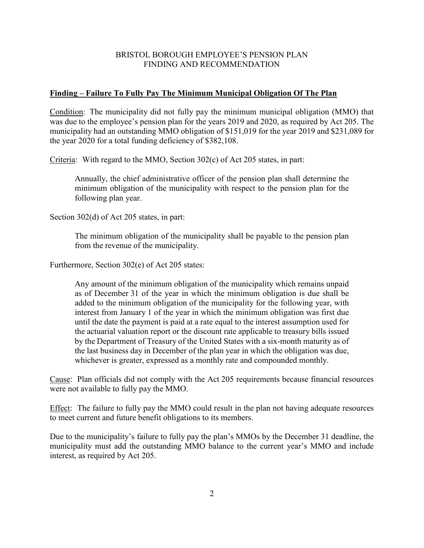## BRISTOL BOROUGH EMPLOYEE'S PENSION PLAN FINDING AND RECOMMENDATION

#### **Finding – Failure To Fully Pay The Minimum Municipal Obligation Of The Plan**

Condition: The municipality did not fully pay the minimum municipal obligation (MMO) that was due to the employee's pension plan for the years 2019 and 2020, as required by Act 205. The municipality had an outstanding MMO obligation of \$151,019 for the year 2019 and \$231,089 for the year 2020 for a total funding deficiency of \$382,108.

Criteria: With regard to the MMO, Section 302(c) of Act 205 states, in part:

Annually, the chief administrative officer of the pension plan shall determine the minimum obligation of the municipality with respect to the pension plan for the following plan year.

Section 302(d) of Act 205 states, in part:

The minimum obligation of the municipality shall be payable to the pension plan from the revenue of the municipality.

Furthermore, Section 302(e) of Act 205 states:

Any amount of the minimum obligation of the municipality which remains unpaid as of December 31 of the year in which the minimum obligation is due shall be added to the minimum obligation of the municipality for the following year, with interest from January 1 of the year in which the minimum obligation was first due until the date the payment is paid at a rate equal to the interest assumption used for the actuarial valuation report or the discount rate applicable to treasury bills issued by the Department of Treasury of the United States with a six-month maturity as of the last business day in December of the plan year in which the obligation was due, whichever is greater, expressed as a monthly rate and compounded monthly.

Cause: Plan officials did not comply with the Act 205 requirements because financial resources were not available to fully pay the MMO.

Effect: The failure to fully pay the MMO could result in the plan not having adequate resources to meet current and future benefit obligations to its members.

Due to the municipality's failure to fully pay the plan's MMOs by the December 31 deadline, the municipality must add the outstanding MMO balance to the current year's MMO and include interest, as required by Act 205.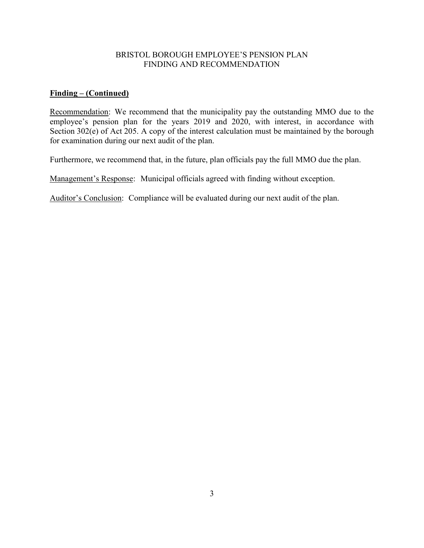## BRISTOL BOROUGH EMPLOYEE'S PENSION PLAN FINDING AND RECOMMENDATION

# **Finding – (Continued)**

Recommendation: We recommend that the municipality pay the outstanding MMO due to the employee's pension plan for the years 2019 and 2020, with interest, in accordance with Section 302(e) of Act 205. A copy of the interest calculation must be maintained by the borough for examination during our next audit of the plan.

Furthermore, we recommend that, in the future, plan officials pay the full MMO due the plan.

Management's Response: Municipal officials agreed with finding without exception.

Auditor's Conclusion: Compliance will be evaluated during our next audit of the plan.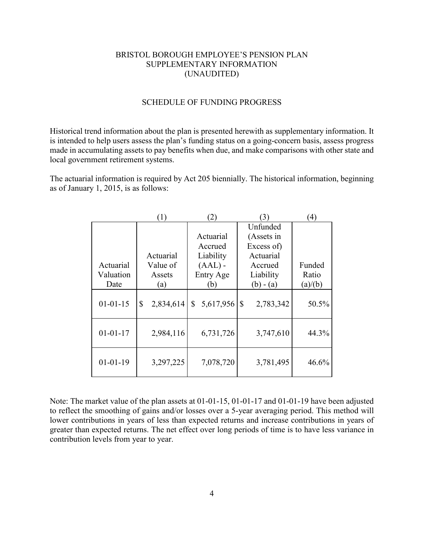## BRISTOL BOROUGH EMPLOYEE'S PENSION PLAN SUPPLEMENTARY INFORMATION (UNAUDITED)

#### SCHEDULE OF FUNDING PROGRESS

Historical trend information about the plan is presented herewith as supplementary information. It is intended to help users assess the plan's funding status on a going-concern basis, assess progress made in accumulating assets to pay benefits when due, and make comparisons with other state and local government retirement systems.

The actuarial information is required by Act 205 biennially. The historical information, beginning as of January 1, 2015, is as follows:

|                | 1)              |                 | 3)             | $\left( 4\right)$ |
|----------------|-----------------|-----------------|----------------|-------------------|
|                |                 |                 | Unfunded       |                   |
|                |                 | Actuarial       | (Assets in     |                   |
|                |                 | Accrued         | Excess of)     |                   |
|                | Actuarial       | Liability       | Actuarial      |                   |
| Actuarial      | Value of        | $(AAL)$ -       | Accrued        | Funded            |
| Valuation      | Assets          | Entry Age       | Liability      | Ratio             |
| Date           | (a)             | (b)             | $(b) - (a)$    | (a)/(b)           |
| $01 - 01 - 15$ | \$<br>2,834,614 | 5,617,956<br>\$ | 2,783,342<br>S | 50.5%             |
| $01 - 01 - 17$ | 2,984,116       | 6,731,726       | 3,747,610      | 44.3%             |
| $01 - 01 - 19$ | 3,297,225       | 7,078,720       | 3,781,495      | 46.6%             |

Note: The market value of the plan assets at 01-01-15, 01-01-17 and 01-01-19 have been adjusted to reflect the smoothing of gains and/or losses over a 5-year averaging period. This method will lower contributions in years of less than expected returns and increase contributions in years of greater than expected returns. The net effect over long periods of time is to have less variance in contribution levels from year to year.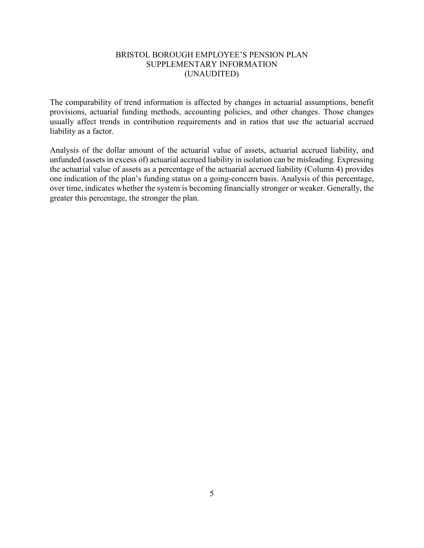## BRISTOL BOROUGH EMPLOYEE'S PENSION PLAN SUPPLEMENTARY INFORMATION (UNAUDITED)

The comparability of trend information is affected by changes in actuarial assumptions, benefit provisions, actuarial funding methods, accounting policies, and other changes. Those changes usually affect trends in contribution requirements and in ratios that use the actuarial accrued liability as a factor.

Analysis of the dollar amount of the actuarial value of assets, actuarial accrued liability, and unfunded (assets in excess of) actuarial accrued liability in isolation can be misleading. Expressing the actuarial value of assets as a percentage of the actuarial accrued liability (Column 4) provides one indication of the plan's funding status on a going-concern basis. Analysis of this percentage, over time, indicates whether the system is becoming financially stronger or weaker. Generally, the greater this percentage, the stronger the plan.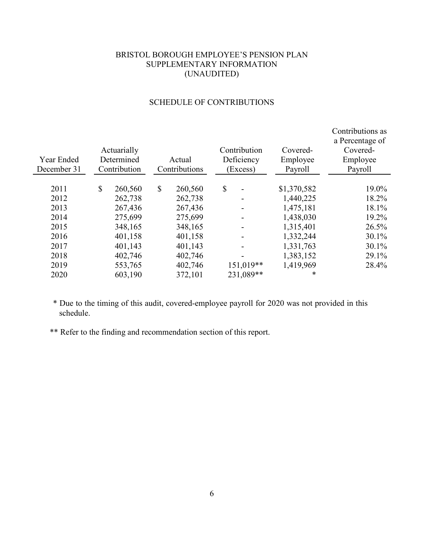# BRISTOL BOROUGH EMPLOYEE'S PENSION PLAN SUPPLEMENTARY INFORMATION (UNAUDITED)

|             |              |             |               |         |              |             | Contributions as<br>a Percentage of |
|-------------|--------------|-------------|---------------|---------|--------------|-------------|-------------------------------------|
|             |              | Actuarially |               |         | Contribution | Covered-    | Covered-                            |
| Year Ended  |              | Determined  |               | Actual  | Deficiency   | Employee    | Employee                            |
| December 31 | Contribution |             | Contributions |         | (Excess)     | Payroll     | Payroll                             |
|             |              |             |               |         |              |             |                                     |
| 2011        | \$           | 260,560     | \$            | 260,560 | \$<br>-      | \$1,370,582 | 19.0%                               |
| 2012        |              | 262,738     |               | 262,738 |              | 1,440,225   | 18.2%                               |
| 2013        |              | 267,436     |               | 267,436 |              | 1,475,181   | 18.1%                               |
| 2014        |              | 275,699     |               | 275,699 |              | 1,438,030   | 19.2%                               |
| 2015        |              | 348,165     |               | 348,165 |              | 1,315,401   | 26.5%                               |
| 2016        |              | 401,158     |               | 401,158 |              | 1,332,244   | $30.1\%$                            |
| 2017        |              | 401,143     |               | 401,143 |              | 1,331,763   | $30.1\%$                            |
| 2018        |              | 402,746     |               | 402,746 |              | 1,383,152   | 29.1%                               |
| 2019        |              | 553,765     |               | 402,746 | 151,019**    | 1,419,969   | 28.4%                               |
| 2020        |              | 603,190     |               | 372,101 | 231,089**    |             | *                                   |

# SCHEDULE OF CONTRIBUTIONS

\* Due to the timing of this audit, covered-employee payroll for 2020 was not provided in this schedule.

\*\* Refer to the finding and recommendation section of this report.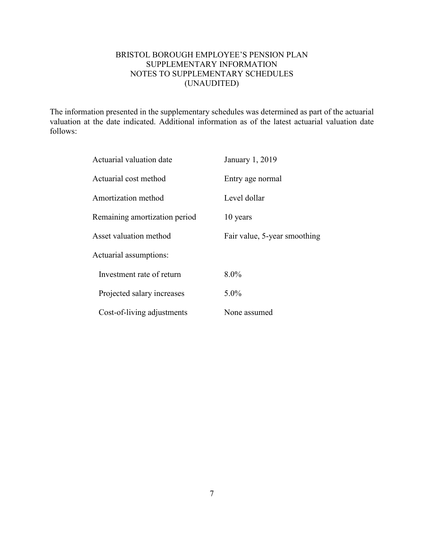# BRISTOL BOROUGH EMPLOYEE'S PENSION PLAN SUPPLEMENTARY INFORMATION NOTES TO SUPPLEMENTARY SCHEDULES (UNAUDITED)

The information presented in the supplementary schedules was determined as part of the actuarial valuation at the date indicated. Additional information as of the latest actuarial valuation date follows:

| Actuarial valuation date      | January 1, 2019              |
|-------------------------------|------------------------------|
| Actuarial cost method         | Entry age normal             |
| Amortization method           | Level dollar                 |
| Remaining amortization period | 10 years                     |
| Asset valuation method        | Fair value, 5-year smoothing |
| Actuarial assumptions:        |                              |
| Investment rate of return     | $8.0\%$                      |
| Projected salary increases    | $5.0\%$                      |
| Cost-of-living adjustments    | None assumed                 |